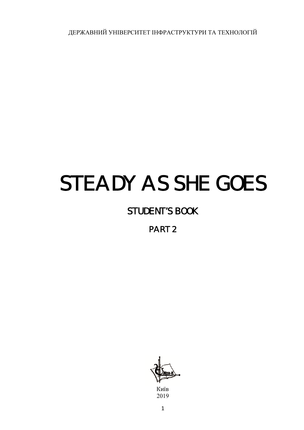ДЕРЖАВНИЙ УНІВЕРСИТЕТ ІНФРАСТРУКТУРИ ТА ТЕХНОЛОГІЙ

# STEADY AS SHE GOES

# STUDENT'S BOOK

PART 2

Київ 2019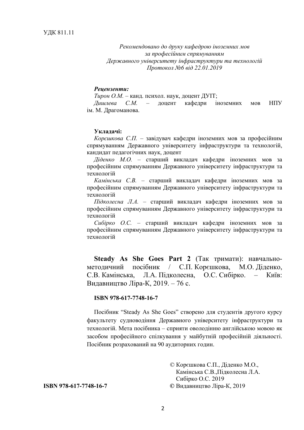*Рекомендовано до друку кафедрою іноземних мов за професійним спрямуванням Державного університету інфраструктури та технологій Протокол №6 від 22.01.2019* 

#### *Рецензенти:*

*Тирон О.М.* – канд. психол. наук, доцент ДУІТ; *Дишлева С.М.* – доцент кафедри іноземних мов НПУ ім. М. Драгоманова.

#### **Укладачі:**

*Корєшкова С.П.* – завідувач кафедри іноземних мов за професійним спрямуванням Державного університету інфраструктури та технологій, кандидат педагогічних наук, доцент

*Діденко М.О.* – старший викладач кафедри іноземних мов за професійним спрямуванням Державного університету інфраструктури та технологій

*Камінська С.В.* – старший викладач кафедри іноземних мов за професійним спрямуванням Державного університету інфраструктури та технологій

*Підколесна Л.А.* – старший викладач кафедри іноземних мов за професійним спрямуванням Державного університету інфраструктури та технологій

*Сибірко О.С.* – старший викладач кафедри іноземних мов за професійним спрямуванням Державного університету інфраструктури та технологій

**Steady As She Goes Part 2** (Так тримати): навчальнометодичний посібник / С.П. Корєшкова, М.О. Діденко, С.В. Камінська, Л.А. Підколесна, О.С. Сибірко. – Київ: Видавництво Ліра-К, 2019. – 76 с.

#### **ISBN 978-617-7748-16-7**

Посібник "Steady As She Goes" створено для студентів другого курсу факультету судноводіння Державного університету інфраструктури та технологій. Мета посібника – сприяти оволодінню англійською мовою як засобом професійного спілкування у майбутній професійній діяльності. Посібник розрахований на 90 аудиторних годин.

© Корєшкова С.П., Діденко М.О., Камінська С.В.,Підколесна Л.А. Сибірко О.С. 2019 **ISBN 978-617-7748-16-7 ©** Видавництво Ліра-К, 2019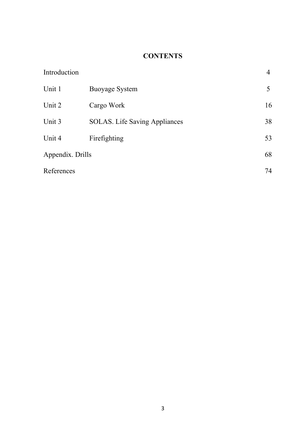# **CONTENTS**

| Introduction     |                                      | 4  |
|------------------|--------------------------------------|----|
| Unit 1           | <b>Buoyage System</b>                | 5  |
| Unit 2           | Cargo Work                           | 16 |
| Unit 3           | <b>SOLAS.</b> Life Saving Appliances | 38 |
| Unit 4           | Firefighting                         | 53 |
| Appendix. Drills |                                      |    |
| References       |                                      | 74 |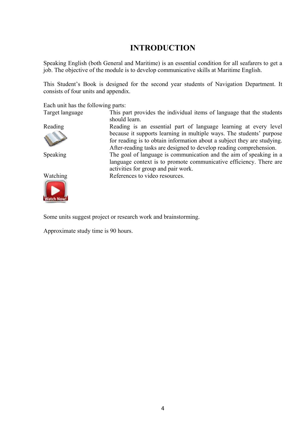# **INTRODUCTION**

Speaking English (both General and Maritime) is an essential condition for all seafarers to get a job. The objective of the module is to develop communicative skills at Maritime English.

This Student's Book is designed for the second year students of Navigation Department. It consists of four units and appendix.

Each unit has the following parts:

Target language This part provides the individual items of language that the students should learn.





Reading Reading is an essential part of language learning at every level because it supports learning in multiple ways. The students' purpose for reading is to obtain information about a subject they are studying. After-reading tasks are designed to develop reading comprehension. Speaking The goal of language is communication and the aim of speaking in a language context is to promote communicative efficiency. There are activities for group and pair work.

Watching References to video resources.

Some units suggest project or research work and brainstorming.

Approximate study time is 90 hours.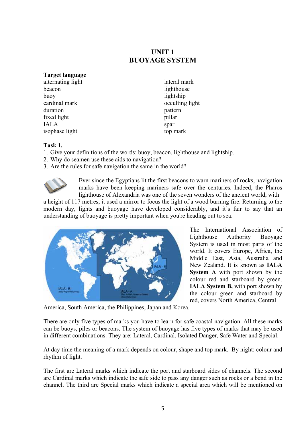## **UNIT 1 BUOYAGE SYSTEM**

#### **Target language**

alternating light beacon buoy cardinal mark duration fixed light IALA isophase light

lateral mark lighthouse lightship occulting light pattern pillar spar top mark

#### **Task 1.**

- 1. Give your definitions of the words: buoy, beacon, lighthouse and lightship.
- 2. Why do seamen use these aids to navigation?
- 3. Are the rules for safe navigation the same in the world?



Ever since the Egyptians lit the first beacons to warn mariners of rocks, navigation marks have been keeping mariners safe over the centuries. Indeed, the Pharos lighthouse of Alexandria was one of the seven wonders of the ancient world, with

a height of 117 metres, it used a mirror to focus the light of a wood burning fire. Returning to the modern day, lights and buoyage have developed considerably, and it's fair to say that an understanding of buoyage is pretty important when you're heading out to sea.



The International Association of Lighthouse Authority Buoyage System is used in most parts of the world. It covers Europe, Africa, the Middle East, Asia, Australia and New Zealand. It is known as **IALA System A** with port shown by the colour red and starboard by green. **IALA System B,** with port shown by the colour green and starboard by red, covers North America, Central

America, South America, the Philippines, Japan and Korea.

There are only five types of marks you have to learn for safe coastal navigation. All these marks can be buoys, piles or beacons. The system of buoyage has five types of marks that may be used in different combinations. They are: Lateral, Cardinal, Isolated Danger, Safe Water and Special.

At day time the meaning of a mark depends on colour, shape and top mark. By night: colour and rhythm of light.

The first are Lateral marks which indicate the port and starboard sides of channels. The second are Cardinal marks which indicate the safe side to pass any danger such as rocks or a bend in the channel. The third are Special marks which indicate a special area which will be mentioned on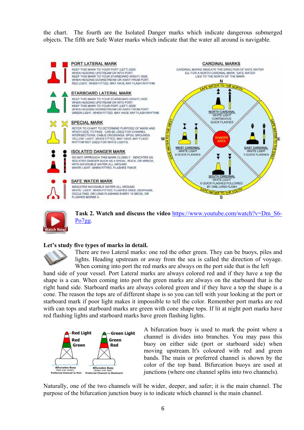the chart. The fourth are the Isolated Danger marks which indicate dangerous submerged objects. The fifth are Safe Water marks which indicate that the water all around is navigable.





**Task 2. Watch and discuss the video** https://www.youtube.com/watch?v=Dm\_S6- Po7gg.

## **Let's study five types of marks in detail.**



There are two Lateral marks: one red the other green. They can be buoys, piles and lights. Heading upstream or away from the sea is called the direction of voyage. When coming into port the red marks are always on the port side that is the left

hand side of your vessel. Port Lateral marks are always colored red and if they have a top the shape is a can. When coming into port the green marks are always on the starboard that is the right hand side. Starboard marks are always colored green and if they have a top the shape is a cone. The reason the tops are of different shape is so you can tell with your looking at the port or starboard mark if poor light makes it impossible to tell the color. Remember port marks are red with can tops and starboard marks are green with cone shape tops. If lit at night port marks have red flashing lights and starboard marks have green flashing lights.



A bifurcation buoy is used to mark the point where a channel is divides into branches. You may pass this buoy on either side (port or starboard side) when moving upstream. It's coloured with red and green bands. The main or preferred channel is shown by the color of the top band. Bifurcation buoys are used at junctions (where one channel splits into two channels).

Naturally, one of the two channels will be wider, deeper, and safer; it is the main channel. The purpose of the bifurcation junction buoy is to indicate which channel is the main channel.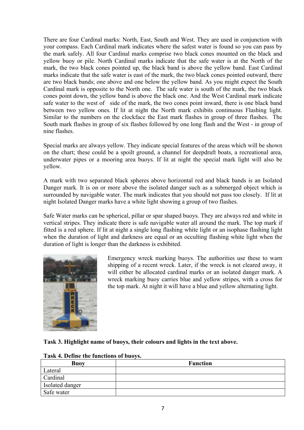There are four Cardinal marks: North, East, South and West. They are used in conjunction with your compass. Each Cardinal mark indicates where the safest water is found so you can pass by the mark safely. All four Cardinal marks comprise two black cones mounted on the black and yellow buoy or pile. North Cardinal marks indicate that the safe water is at the North of the mark, the two black cones pointed up, the black band is above the yellow band. East Cardinal marks indicate that the safe water is east of the mark, the two black cones pointed outward, there are two black bands; one above and one below the yellow band. As you might expect the South Cardinal mark is opposite to the North one. The safe water is south of the mark, the two black cones point down, the yellow band is above the black one. And the West Cardinal mark indicate safe water to the west of side of the mark, the two cones point inward, there is one black band between two yellow ones. If lit at night the North mark exhibits continuous Flashing light. Similar to the numbers on the clockface the East mark flashes in group of three flashes. The South mark flashes in group of six flashes followed by one long flash and the West - in group of nine flashes.

Special marks are always yellow. They indicate special features of the areas which will be shown on the chart; these could be a spoilt ground, a channel for deepdraft boats, a recreational area, underwater pipes or a mooring area buoys. If lit at night the special mark light will also be yellow.

A mark with two separated black spheres above horizontal red and black bands is an Isolated Danger mark. It is on or more above the isolated danger such as a submerged object which is surrounded by navigable water. The mark indicates that you should not pass too closely. If lit at night Isolated Danger marks have a white light showing a group of two flashes.

Safe Water marks can be spherical, pillar or spar shaped buoys. They are always red and white in vertical stripes. They indicate there is safe navigable water all around the mark. The top mark if fitted is a red sphere. If lit at night a single long flashing white light or an isophase flashing light when the duration of light and darkness are equal or an occulting flashing white light when the duration of light is longer than the darkness is exhibited.



Emergency wreck marking buoys. The authorities use these to warn shipping of a recent wreck. Later, if the wreck is not cleared away, it will either be allocated cardinal marks or an isolated danger mark. A wreck marking buoy carries blue and yellow stripes, with a cross for the top mark. At night it will have a blue and yellow alternating light.

## **Task 3. Highlight name of buoys, their colours and lights in the text above.**

| <b>Buoy</b>     | <b>Function</b> |
|-----------------|-----------------|
| Lateral         |                 |
| Cardinal        |                 |
| Isolated danger |                 |
| Safe water      |                 |

## **Task 4. Define the functions of buoys.**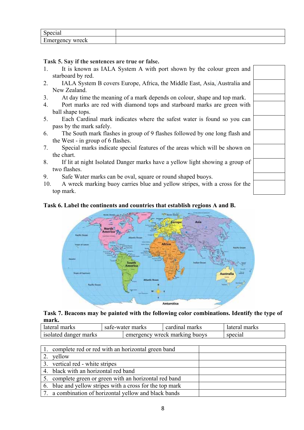| $\sim$                                    |  |
|-------------------------------------------|--|
| r<br>$\sim$ $\blacksquare$<br>1 A<br>$ -$ |  |

## **Task 5. Say if the sentences are true or false.**

- 1. It is known as IALA System A with port shown by the colour green and starboard by red.
- 2. IALA System B covers Europe, Africa, the Middle East, Asia, Australia and New Zealand.
- 3. At day time the meaning of a mark depends on colour, shape and top mark.
- 4. Port marks are red with diamond tops and starboard marks are green with ball shape tops.
- 5. Each Cardinal mark indicates where the safest water is found so you can pass by the mark safely.
- 6. The South mark flashes in group of 9 flashes followed by one long flash and the West - in group of 6 flashes.
- 7. Special marks indicate special features of the areas which will be shown on the chart.
- 8. If lit at night Isolated Danger marks have a yellow light showing a group of two flashes.
- 9. Safe Water marks can be oval, square or round shaped buoys.
- 10. A wreck marking buoy carries blue and yellow stripes, with a cross for the top mark.

## **Task 6. Label the continents and countries that establish regions A and B.**



#### **Task 7. Beacons may be painted with the following color combinations. Identify the type of mark.**

| lateral marks         |  | safe-water marks              | cardinal marks | lateral marks |  |
|-----------------------|--|-------------------------------|----------------|---------------|--|
| isolated danger marks |  | emergency wreck marking buoys |                | special       |  |

| 1. complete red or red with an horizontal green band     |
|----------------------------------------------------------|
| yellow                                                   |
| 3. vertical red - white stripes                          |
| 4. black with an horizontal red band                     |
| 5. complete green or green with an horizontal red band   |
| 6. blue and yellow stripes with a cross for the top mark |
| 7. a combination of horizontal yellow and black bands    |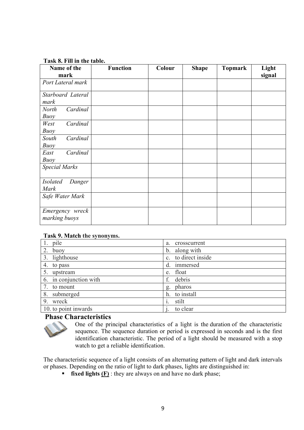#### **Task 8. Fill in the table.**

| Name of the                              | <b>Function</b> | Colour | <b>Shape</b> | <b>Topmark</b> | Light  |
|------------------------------------------|-----------------|--------|--------------|----------------|--------|
| mark                                     |                 |        |              |                | signal |
| Port Lateral mark                        |                 |        |              |                |        |
| Starboard Lateral<br>mark                |                 |        |              |                |        |
| Cardinal<br><b>North</b><br>Buoy         |                 |        |              |                |        |
| Cardinal<br>West<br>Buoy                 |                 |        |              |                |        |
| South<br>Cardinal<br>Buoy                |                 |        |              |                |        |
| Cardinal<br>East<br>Buoy                 |                 |        |              |                |        |
| <b>Special Marks</b>                     |                 |        |              |                |        |
| <b>Isolated</b><br>Danger<br><b>Mark</b> |                 |        |              |                |        |
| Safe Water Mark                          |                 |        |              |                |        |
| Emergency wreck<br>marking buoys         |                 |        |              |                |        |

#### **Task 9. Match the synonyms.**

| 1. pile                | crosscurrent<br>a.  |
|------------------------|---------------------|
| buoy                   | b. along with       |
| 3. lighthouse          | c. to direct inside |
| 4. to pass             | immersed<br>d.      |
| 5. upstream            | e. float            |
| 6. in conjunction with | debris<br>f.        |
| to mount               | pharos<br>g.        |
| 8. submerged           | to install<br>h.    |
| 9. wreck               | stilt               |
| 10. to point inwards   | to clear            |

## **Phase Characteristics**



One of the principal characteristics of a light is the duration of the characteristic sequence. The sequence duration or period is expressed in seconds and is the first identification characteristic. The period of a light should be measured with a stop watch to get a reliable identification.

The characteristic sequence of a light consists of an alternating pattern of light and dark intervals or phases. Depending on the ratio of light to dark phases, lights are distinguished in:

**fixed lights (F)** : they are always on and have no dark phase;